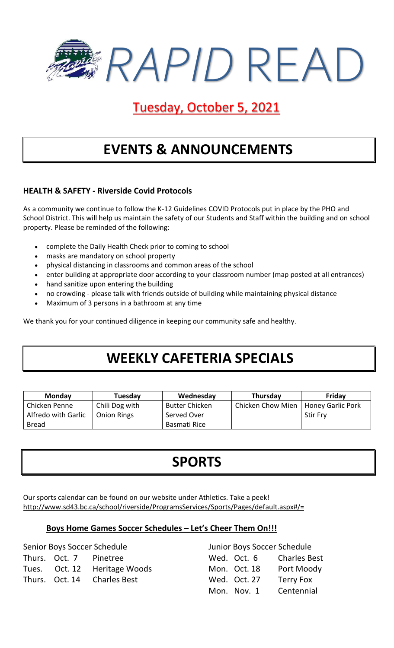

### Tuesday, October 5, 2021

### **EVENTS & ANNOUNCEMENTS**

#### **HEALTH & SAFETY - Riverside Covid Protocols**

As a community we continue to follow the K-12 Guidelines COVID Protocols put in place by the PHO and School District. This will help us maintain the safety of our Students and Staff within the building and on school property. Please be reminded of the following:

- complete the Daily Health Check prior to coming to school
- masks are mandatory on school property
- physical distancing in classrooms and common areas of the school
- enter building at appropriate door according to your classroom number (map posted at all entrances)
- hand sanitize upon entering the building
- no crowding please talk with friends outside of building while maintaining physical distance
- Maximum of 3 persons in a bathroom at any time

We thank you for your continued diligence in keeping our community safe and healthy.

### **WEEKLY CAFETERIA SPECIALS**

| <b>Monday</b>       | Tuesday            | Wednesday             | Thursday          | Friday                   |
|---------------------|--------------------|-----------------------|-------------------|--------------------------|
| Chicken Penne       | Chili Dog with     | <b>Butter Chicken</b> | Chicken Chow Mien | <b>Honey Garlic Pork</b> |
| Alfredo with Garlic | <b>Onion Rings</b> | Served Over           |                   | <b>Stir Fry</b>          |
| <b>Bread</b>        |                    | Basmati Rice          |                   |                          |

# **SPORTS**

Our sports calendar can be found on our website under Athletics. Take a peek! http://www.sd43.bc.ca/school/riverside/ProgramsServices/Sports/Pages/default.aspx#/=

#### **Boys Home Games Soccer Schedules – Let's Cheer Them On!!!**

| Senior Boys Soccer Schedule |                        |                              | Junior Boys Soccer Schedule |              |                          |
|-----------------------------|------------------------|------------------------------|-----------------------------|--------------|--------------------------|
|                             | Thurs. Oct. 7 Pinetree |                              |                             |              | Wed. Oct. 6 Charles Best |
|                             |                        | Tues. Oct. 12 Heritage Woods |                             | Mon. Oct. 18 | Port Moody               |
|                             |                        | Thurs. Oct. 14 Charles Best  |                             | Wed. Oct. 27 | Terry Fox                |
|                             |                        |                              |                             | Mon. Nov. 1  | Centennial               |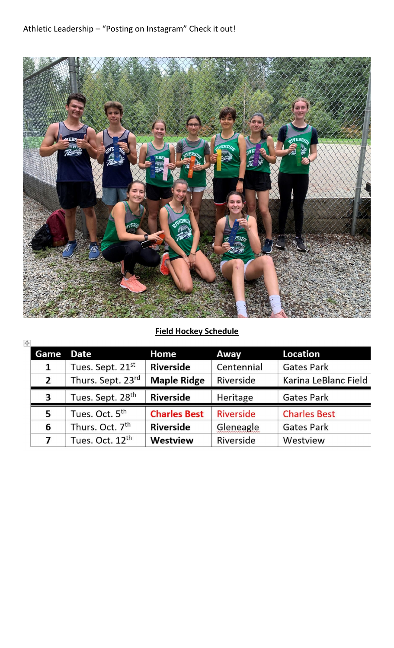

### **Field Hockey Schedule**

| ┿ |              |                              |                     |                  |                      |
|---|--------------|------------------------------|---------------------|------------------|----------------------|
|   | Game         | Date                         | Home                | Away             | <b>Location</b>      |
|   | 1            | Tues. Sept. 21st             | <b>Riverside</b>    | Centennial       | <b>Gates Park</b>    |
|   | $\mathbf{2}$ | Thurs. Sept. 23rd            | <b>Maple Ridge</b>  | Riverside        | Karina LeBlanc Field |
|   |              |                              |                     |                  |                      |
|   | 3            | Tues. Sept. 28 <sup>th</sup> | <b>Riverside</b>    | Heritage         | <b>Gates Park</b>    |
|   | 5            | Tues. Oct. 5 <sup>th</sup>   | <b>Charles Best</b> | <b>Riverside</b> | <b>Charles Best</b>  |
|   | 6            | Thurs. Oct. 7 <sup>th</sup>  | <b>Riverside</b>    | Gleneagle        | <b>Gates Park</b>    |